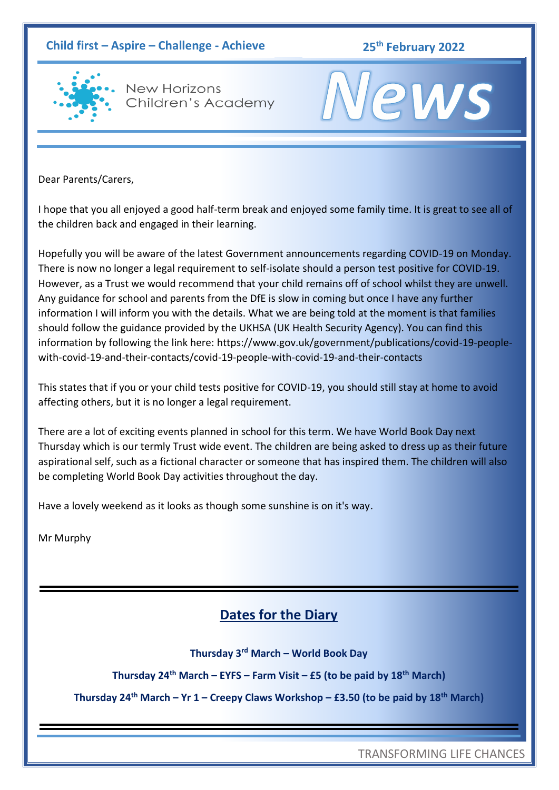#### **Child first – Aspire – Challenge - Achieve 25th February 2022**



**New Horizons** Children's Academy

# **2WS**

Dear Parents/Carers,

I hope that you all enjoyed a good half-term break and enjoyed some family time. It is great to see all of the children back and engaged in their learning.

Hopefully you will be aware of the latest Government announcements regarding COVID-19 on Monday. There is now no longer a legal requirement to self-isolate should a person test positive for COVID-19. However, as a Trust we would recommend that your child remains off of school whilst they are unwell. Any guidance for school and parents from the DfE is slow in coming but once I have any further information I will inform you with the details. What we are being told at the moment is that families should follow the guidance provided by the UKHSA (UK Health Security Agency). You can find this information by following the link here: https://www.gov.uk/government/publications/covid-19-peoplewith-covid-19-and-their-contacts/covid-19-people-with-covid-19-and-their-contacts

This states that if you or your child tests positive for COVID-19, you should still stay at home to avoid affecting others, but it is no longer a legal requirement.

There are a lot of exciting events planned in school for this term. We have World Book Day next Thursday which is our termly Trust wide event. The children are being asked to dress up as their future aspirational self, such as a fictional character or someone that has inspired them. The children will also be completing World Book Day activities throughout the day.

Have a lovely weekend as it looks as though some sunshine is on it's way.

Mr Murphy

### **Dates for the Diary**

**Thursday 3rd March – World Book Day**

**Thursday 24th March – EYFS – Farm Visit – £5 (to be paid by 18th March)**

**Thursday 24th March – Yr 1 – Creepy Claws Workshop – £3.50 (to be paid by 18th March)**

TRANSFORMING LIFE CHANCES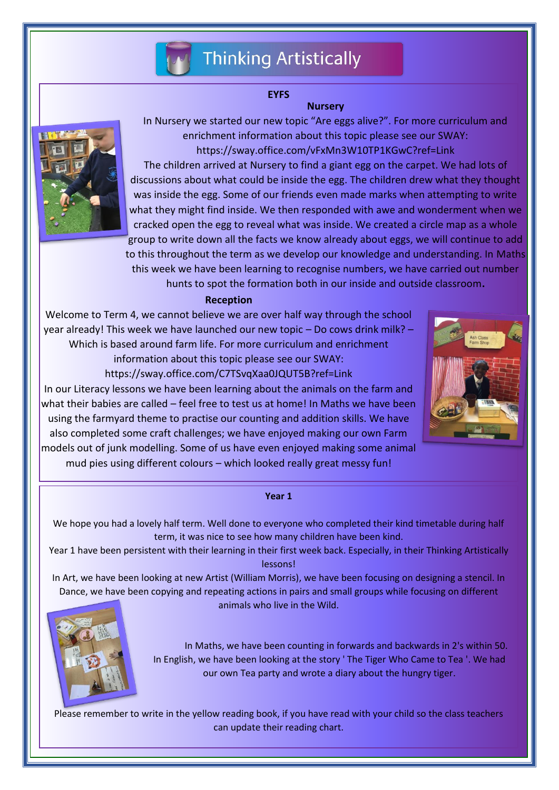

#### **EYFS**

#### **Nursery**



In Nursery we started our new topic "Are eggs alive?". For more curriculum and enrichment information about this topic please see our SWAY: https://sway.office.com/vFxMn3W10TP1KGwC?ref=Link

The children arrived at Nursery to find a giant egg on the carpet. We had lots of discussions about what could be inside the egg. The children drew what they thought was inside the egg. Some of our friends even made marks when attempting to write what they might find inside. We then responded with awe and wonderment when we cracked open the egg to reveal what was inside. We created a circle map as a whole group to write down all the facts we know already about eggs, we will continue to add to this throughout the term as we develop our knowledge and understanding. In Maths this week we have been learning to recognise numbers, we have carried out number

hunts to spot the formation both in our inside and outside classroom**.**

#### **Reception**

Welcome to Term 4, we cannot believe we are over half way through the school year already! This week we have launched our new topic – Do cows drink milk? – Which is based around farm life. For more curriculum and enrichment information about this topic please see our SWAY: https://sway.office.com/C7TSvqXaa0JQUT5B?ref=Link



In our Literacy lessons we have been learning about the animals on the farm and what their babies are called – feel free to test us at home! In Maths we have been using the farmyard theme to practise our counting and addition skills. We have also completed some craft challenges; we have enjoyed making our own Farm models out of junk modelling. Some of us have even enjoyed making some animal mud pies using different colours – which looked really great messy fun!

#### **Year 1**

We hope you had a lovely half term. Well done to everyone who completed their kind timetable during half term, it was nice to see how many children have been kind.

Year 1 have been persistent with their learning in their first week back. Especially, in their Thinking Artistically lessons!

In Art, we have been looking at new Artist (William Morris), we have been focusing on designing a stencil. In Dance, we have been copying and repeating actions in pairs and small groups while focusing on different animals who live in the Wild.



In Maths, we have been counting in forwards and backwards in 2's within 50. In English, we have been looking at the story ' The Tiger Who Came to Tea '. We had our own Tea party and wrote a diary about the hungry tiger.

Please remember to write in the yellow reading book, if you have read with your child so the class teachers can update their reading chart.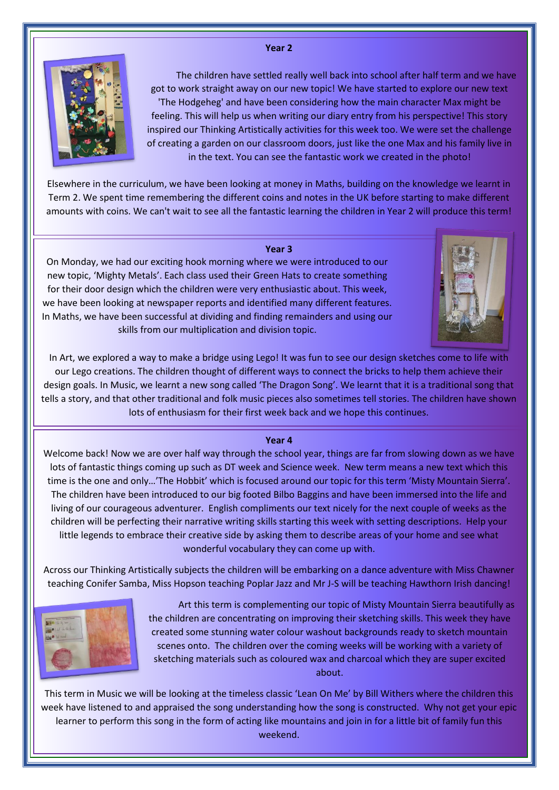#### **Year 2**



The children have settled really well back into school after half term and we have got to work straight away on our new topic! We have started to explore our new text 'The Hodgeheg' and have been considering how the main character Max might be feeling. This will help us when writing our diary entry from his perspective! This story inspired our Thinking Artistically activities for this week too. We were set the challenge of creating a garden on our classroom doors, just like the one Max and his family live in in the text. You can see the fantastic work we created in the photo!

Elsewhere in the curriculum, we have been looking at money in Maths, building on the knowledge we learnt in Term 2. We spent time remembering the different coins and notes in the UK before starting to make different amounts with coins. We can't wait to see all the fantastic learning the children in Year 2 will produce this term!

#### **Year 3**

On Monday, we had our exciting hook morning where we were introduced to our new topic, 'Mighty Metals'. Each class used their Green Hats to create something for their door design which the children were very enthusiastic about. This week, we have been looking at newspaper reports and identified many different features. In Maths, we have been successful at dividing and finding remainders and using our skills from our multiplication and division topic.



In Art, we explored a way to make a bridge using Lego! It was fun to see our design sketches come to life with our Lego creations. The children thought of different ways to connect the bricks to help them achieve their design goals. In Music, we learnt a new song called 'The Dragon Song'. We learnt that it is a traditional song that tells a story, and that other traditional and folk music pieces also sometimes tell stories. The children have shown lots of enthusiasm for their first week back and we hope this continues.

#### **Year 4**

Welcome back! Now we are over half way through the school year, things are far from slowing down as we have lots of fantastic things coming up such as DT week and Science week. New term means a new text which this time is the one and only…'The Hobbit' which is focused around our topic for this term 'Misty Mountain Sierra'. The children have been introduced to our big footed Bilbo Baggins and have been immersed into the life and living of our courageous adventurer. English compliments our text nicely for the next couple of weeks as the children will be perfecting their narrative writing skills starting this week with setting descriptions. Help your little legends to embrace their creative side by asking them to describe areas of your home and see what wonderful vocabulary they can come up with.

Across our Thinking Artistically subjects the children will be embarking on a dance adventure with Miss Chawner teaching Conifer Samba, Miss Hopson teaching Poplar Jazz and Mr J-S will be teaching Hawthorn Irish dancing!



Art this term is complementing our topic of Misty Mountain Sierra beautifully as the children are concentrating on improving their sketching skills. This week they have created some stunning water colour washout backgrounds ready to sketch mountain scenes onto. The children over the coming weeks will be working with a variety of sketching materials such as coloured wax and charcoal which they are super excited about.

This term in Music we will be looking at the timeless classic 'Lean On Me' by Bill Withers where the children this week have listened to and appraised the song understanding how the song is constructed. Why not get your epic learner to perform this song in the form of acting like mountains and join in for a little bit of family fun this weekend.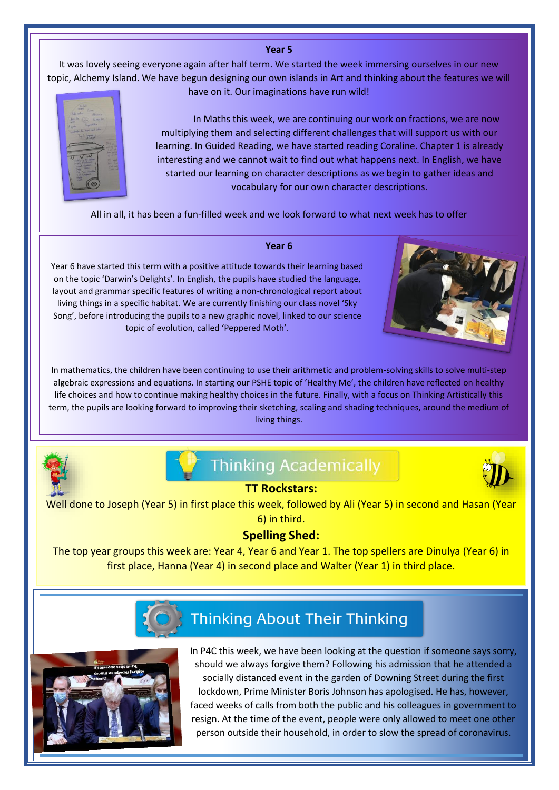#### **Year 5**

It was lovely seeing everyone again after half term. We started the week immersing ourselves in our new topic, Alchemy Island. We have begun designing our own islands in Art and thinking about the features we will have on it. Our imaginations have run wild!



In Maths this week, we are continuing our work on fractions, we are now multiplying them and selecting different challenges that will support us with our learning. In Guided Reading, we have started reading Coraline. Chapter 1 is already interesting and we cannot wait to find out what happens next. In English, we have started our learning on character descriptions as we begin to gather ideas and vocabulary for our own character descriptions.

All in all, it has been a fun-filled week and we look forward to what next week has to offer



#### **Year 6**

Year 6 have started this term with a positive attitude towards their learning based on the topic 'Darwin's Delights'. In English, the pupils have studied the language, layout and grammar specific features of writing a non-chronological report about living things in a specific habitat. We are currently finishing our class novel 'Sky Song', before introducing the pupils to a new graphic novel, linked to our science topic of evolution, called 'Peppered Moth'.



In mathematics, the children have been continuing to use their arithmetic and problem-solving skills to solve multi-step algebraic expressions and equations. In starting our PSHE topic of 'Healthy Me', the children have reflected on healthy life choices and how to continue making healthy choices in the future. Finally, with a focus on Thinking Artistically this term, the pupils are looking forward to improving their sketching, scaling and shading techniques, around the medium of living things.



## **Thinking Academically**



#### **TT Rockstars:**

Well done to Joseph (Year 5) in first place this week, followed by Ali (Year 5) in second and Hasan (Year 6) in third.

#### **Spelling Shed:**

The top year groups this week are: Year 4, Year 6 and Year 1. The top spellers are Dinulya (Year 6) in first place, Hanna (Year 4) in second place and Walter (Year 1) in third place.



## **Thinking About Their Thinking**



In P4C this week, we have been looking at the question if someone says sorry, should we always forgive them? Following his admission that he attended a socially distanced event in the garden of Downing Street during the first lockdown, Prime Minister Boris Johnson has apologised. He has, however, faced weeks of calls from both the public and his colleagues in government to resign. At the time of the event, people were only allowed to meet one other person outside their household, in order to slow the spread of coronavirus.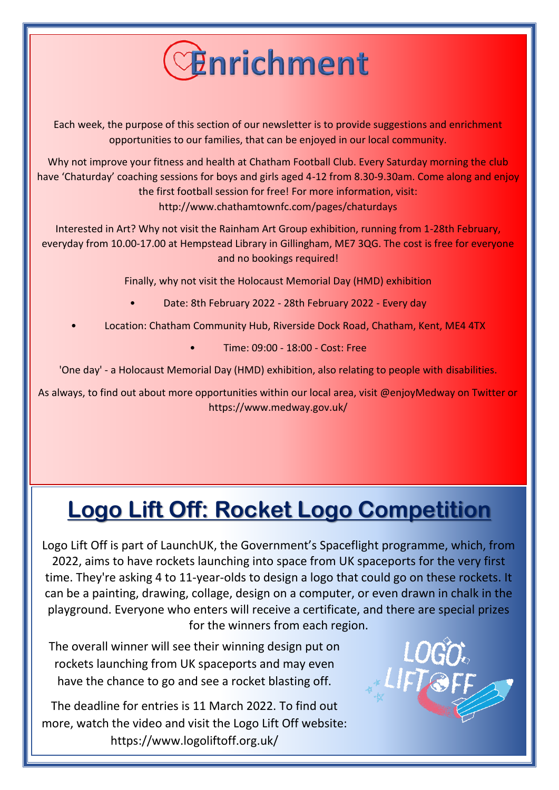

Each week, the purpose of this section of our newsletter is to provide suggestions and enrichment opportunities to our families, that can be enjoyed in our local community.

Why not improve your fitness and health at Chatham Football Club. Every Saturday morning the club have 'Chaturday' coaching sessions for boys and girls aged 4-12 from 8.30-9.30am. Come along and enjoy the first football session for free! For more information, visit: http://www.chathamtownfc.com/pages/chaturdays

Interested in Art? Why not visit the Rainham Art Group exhibition, running from 1-28th February, everyday from 10.00-17.00 at Hempstead Library in Gillingham, ME7 3QG. The cost is free for everyone and no bookings required!

Finally, why not visit the Holocaust Memorial Day (HMD) exhibition

- Date: 8th February 2022 28th February 2022 Every day
- Location: Chatham Community Hub, Riverside Dock Road, Chatham, Kent, ME4 4TX
	- Time: 09:00 18:00 Cost: Free

'One day' - a Holocaust Memorial Day (HMD) exhibition, also relating to people with disabilities.

As always, to find out about more opportunities within our local area, visit @enjoyMedway on Twitter or https://www.medway.gov.uk/

## **Logo Lift Off: Rocket Logo Competition**

Logo Lift Off is part of LaunchUK, the Government's Spaceflight programme, which, from 2022, aims to have rockets launching into space from UK spaceports for the very first time. They're asking 4 to 11-year-olds to design a logo that could go on these rockets. It can be a painting, drawing, collage, design on a computer, or even drawn in chalk in the playground. Everyone who enters will receive a certificate, and there are special prizes for the winners from each region.

The overall winner will see their winning design put on rockets launching from UK spaceports and may even have the chance to go and see a rocket blasting off.

The deadline for entries is 11 March 2022. To find out more, watch the video and visit the Logo Lift Off website: https://www.logoliftoff.org.uk/

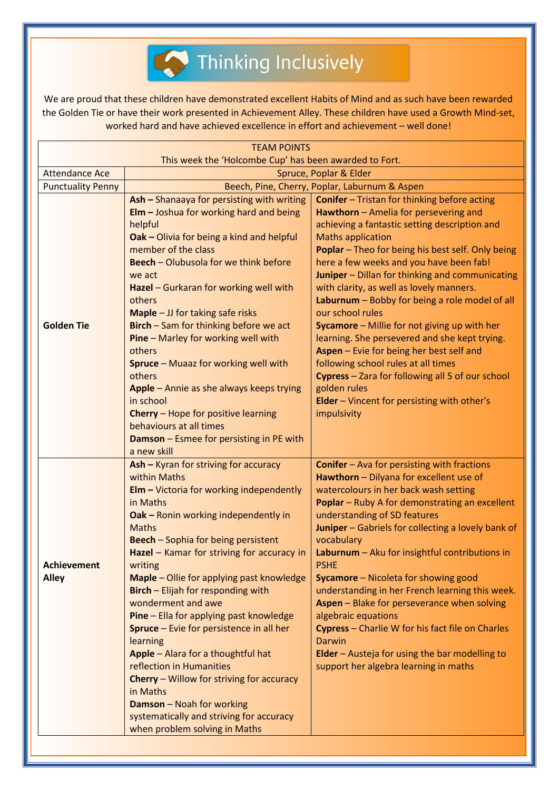

We are proud that these children have demonstrated excellent Habits of Mind and as such have been rewarded the Golden Tie or have their work presented in Achievement Alley. These children have used a Growth Mind-set, worked hard and have achieved excellence in effort and achievement – well done!

| <b>TEAM POINTS</b>                                     |                                                                                                                                                                                                                                                                                                                                                                                                                                                                                                                                                                                                                                                                                                                                                      |                                                                                                                                                                                                                                                                                                                                                                                                                                                                                                                                                                                                                                                                                                                                                                             |
|--------------------------------------------------------|------------------------------------------------------------------------------------------------------------------------------------------------------------------------------------------------------------------------------------------------------------------------------------------------------------------------------------------------------------------------------------------------------------------------------------------------------------------------------------------------------------------------------------------------------------------------------------------------------------------------------------------------------------------------------------------------------------------------------------------------------|-----------------------------------------------------------------------------------------------------------------------------------------------------------------------------------------------------------------------------------------------------------------------------------------------------------------------------------------------------------------------------------------------------------------------------------------------------------------------------------------------------------------------------------------------------------------------------------------------------------------------------------------------------------------------------------------------------------------------------------------------------------------------------|
| This week the 'Holcombe Cup' has been awarded to Fort. |                                                                                                                                                                                                                                                                                                                                                                                                                                                                                                                                                                                                                                                                                                                                                      |                                                                                                                                                                                                                                                                                                                                                                                                                                                                                                                                                                                                                                                                                                                                                                             |
| <b>Attendance Ace</b>                                  | Spruce, Poplar & Elder                                                                                                                                                                                                                                                                                                                                                                                                                                                                                                                                                                                                                                                                                                                               |                                                                                                                                                                                                                                                                                                                                                                                                                                                                                                                                                                                                                                                                                                                                                                             |
| <b>Punctuality Penny</b>                               | Beech, Pine, Cherry, Poplar, Laburnum & Aspen                                                                                                                                                                                                                                                                                                                                                                                                                                                                                                                                                                                                                                                                                                        |                                                                                                                                                                                                                                                                                                                                                                                                                                                                                                                                                                                                                                                                                                                                                                             |
| <b>Golden Tie</b>                                      | Ash - Shanaaya for persisting with writing<br>$E$ lm $-$ Joshua for working hard and being<br>helpful<br>Oak - Olivia for being a kind and helpful<br>member of the class<br>Beech - Olubusola for we think before<br>we act<br>Hazel - Gurkaran for working well with<br>others<br>$Maple - JJ$ for taking safe risks<br>Birch - Sam for thinking before we act<br>Pine - Marley for working well with<br>others<br>Spruce - Muaaz for working well with<br>others<br>Apple - Annie as she always keeps trying<br>in school<br>Cherry - Hope for positive learning<br>behaviours at all times<br>Damson - Esmee for persisting in PE with<br>a new skill                                                                                            | <b>Conifer</b> - Tristan for thinking before acting<br>Hawthorn - Amelia for persevering and<br>achieving a fantastic setting description and<br><b>Maths application</b><br>Poplar - Theo for being his best self. Only being<br>here a few weeks and you have been fab!<br>Juniper - Dillan for thinking and communicating<br>with clarity, as well as lovely manners.<br>Laburnum - Bobby for being a role model of all<br>our school rules<br>Sycamore - Millie for not giving up with her<br>learning. She persevered and she kept trying.<br>Aspen - Evie for being her best self and<br>following school rules at all times<br>Cypress - Zara for following all 5 of our school<br>golden rules<br><b>Elder</b> - Vincent for persisting with other's<br>impulsivity |
| <b>Achievement</b><br><b>Alley</b>                     | Ash - Kyran for striving for accuracy<br>within Maths<br>$EIm - Victoria$ for working independently<br>in Maths<br>Oak - Ronin working independently in<br><b>Maths</b><br><b>Beech</b> - Sophia for being persistent<br>Hazel - Kamar for striving for accuracy in<br>writing<br>Maple - Ollie for applying past knowledge<br>Birch - Elijah for responding with<br>wonderment and awe<br>Pine - Ella for applying past knowledge<br><b>Spruce</b> – Evie for persistence in all her<br>learning<br>Apple - Alara for a thoughtful hat<br>reflection in Humanities<br><b>Cherry</b> – Willow for striving for accuracy<br>in Maths<br><b>Damson</b> - Noah for working<br>systematically and striving for accuracy<br>when problem solving in Maths | <b>Conifer</b> - Ava for persisting with fractions<br>Hawthorn - Dilyana for excellent use of<br>watercolours in her back wash setting<br>Poplar - Ruby A for demonstrating an excellent<br>understanding of SD features<br>Juniper - Gabriels for collecting a lovely bank of<br>vocabulary<br>Laburnum - Aku for insightful contributions in<br><b>PSHE</b><br><b>Sycamore</b> – Nicoleta for showing good<br>understanding in her French learning this week.<br><b>Aspen</b> – Blake for perseverance when solving<br>algebraic equations<br>Cypress - Charlie W for his fact file on Charles<br>Darwin<br>Elder - Austeja for using the bar modelling to<br>support her algebra learning in maths                                                                       |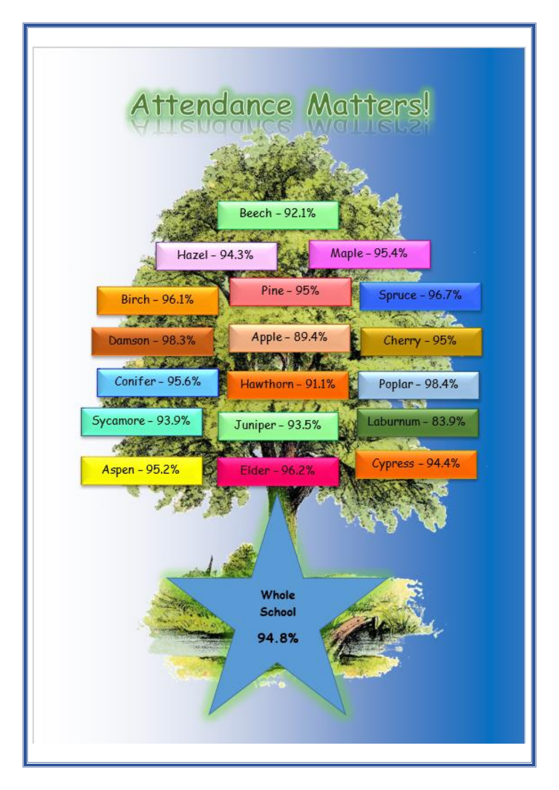